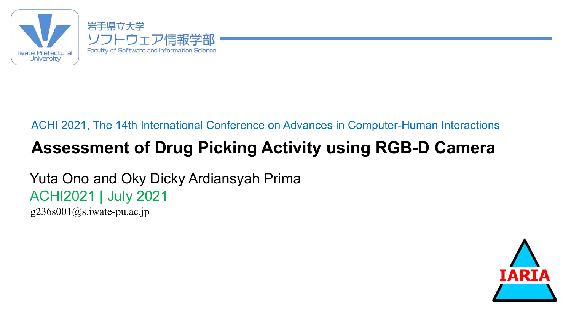

#### ACHI 2021, The 14th International Conference on Advances in Computer-Human Interactions

## **Assessment of Drug Picking Activity using RGB-D Camera**

Yuta Ono and Oky Dicky Ardiansyah Prima ACHI2021 | July 2021

g236s001@s.iwate-pu.ac.jp

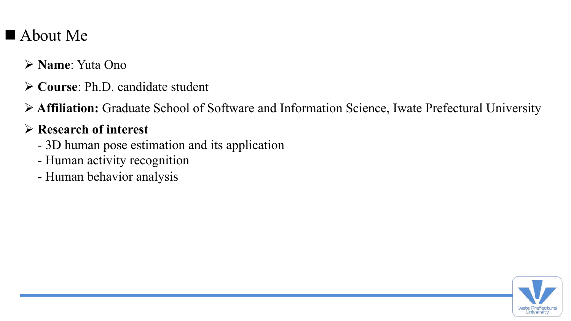## $\blacksquare$  About Me

- Ø **Name**: Yuta Ono
- Ø **Course**: Ph.D. candidate student
- Ø **Affiliation:** Graduate School of Software and Information Science, Iwate Prefectural University

#### Ø **Research of interest**

- 3D human pose estimation and its application
- Human activity recognition
- Human behavior analysis

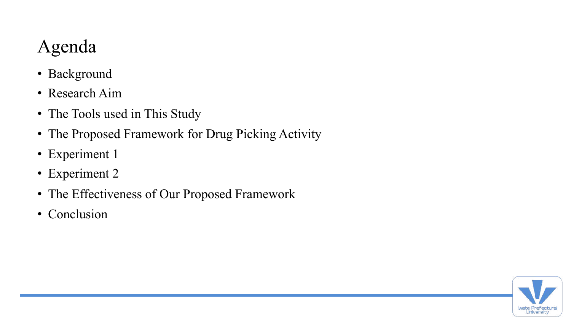# Agenda

- Background
- Research Aim
- The Tools used in This Study
- The Proposed Framework for Drug Picking Activity
- Experiment 1
- Experiment 2
- The Effectiveness of Our Proposed Framework
- Conclusion

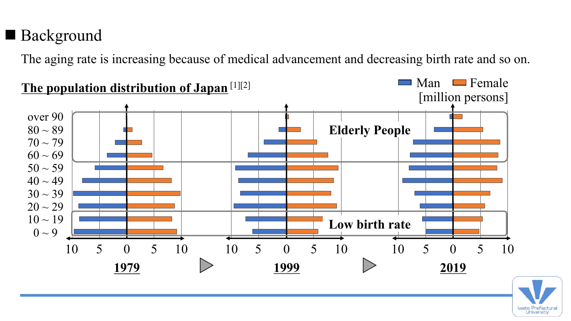## ■ Background

The aging rate is increasing because of medical advancement and decreasing birth rate and so on.



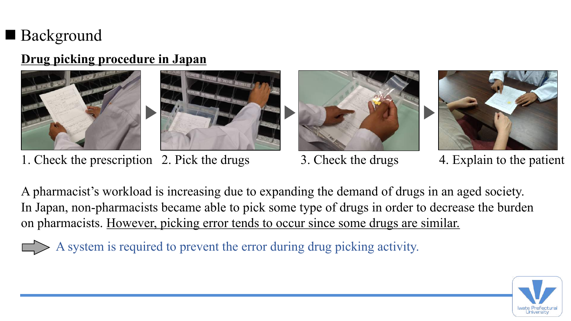## ■ Background

#### **Drug picking procedure in Japan**





1. Check the prescription 2. Pick the drugs 3. Check the drugs 4. Explain to the patient





A pharmacist's workload is increasing due to expanding the demand of drugs in an aged society. In Japan, non-pharmacists became able to pick some type of drugs in order to decrease the burden on pharmacists. However, picking error tends to occur since some drugs are similar.

A system is required to prevent the error during drug picking activity.

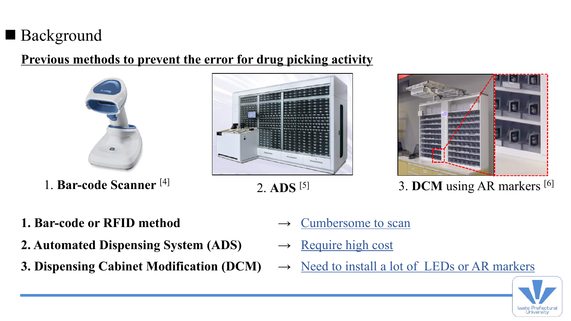## ■ Background

#### **Previous methods to prevent the error for drug picking activity**







- 
- 1. **Bar-code Scanner** <sup>[4]</sup> 2. **ADS** <sup>[5]</sup> 3. **DCM** using AR markers <sup>[6]</sup>
- **1. Bar-code or RFID method**  $\rightarrow$  Cumbersome to scan
- 2. Automated Dispensing System (ADS) → Require high cost
- 
- 
- 
- **3. Dispensing Cabinet Modification (DCM)**  $\rightarrow$  <u>Need to install a lot of LEDs or AR markers</u>

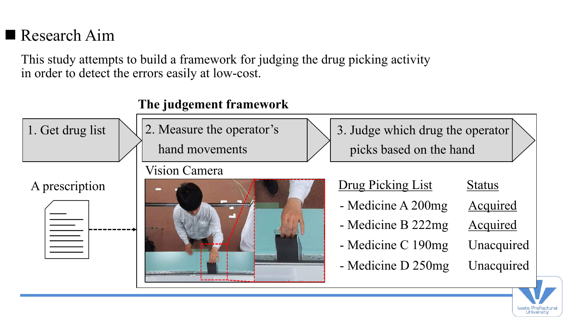## $\blacksquare$  Research Aim

This study attempts to build a framework for judging the drug picking activity in order to detect the errors easily at low-cost.

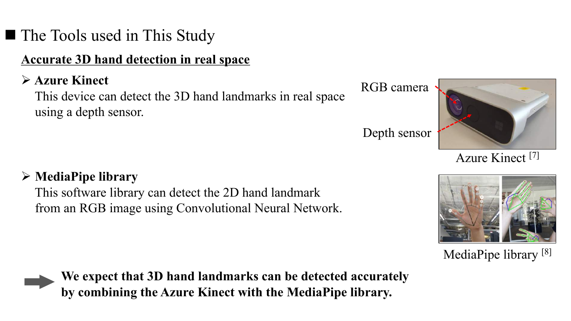## ■ The Tools used in This Study

#### **Accurate 3D hand detection in real space**

#### Ø **Azure Kinect**

This device can detect the 3D hand landmarks in real space using a depth sensor.

Depth sensor

RGB camera



Azure Kinect [7]



This software library can detect the 2D hand landmark from an RGB image using Convolutional Neural Network.



MediaPipe library [8]



by combining the Azure Kinect with the MediaPipe library. **We expect that 3D hand landmarks can be detected accurately**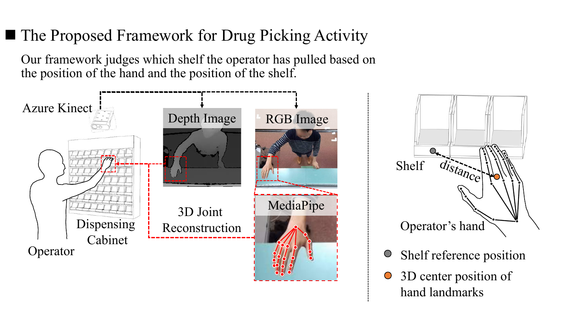## ■ The Proposed Framework for Drug Picking Activity

Our framework judges which shelf the operator has pulled based on the position of the hand and the position of the shelf.





- Shelf reference position  $\bigcirc$
- 3D center position of  $\bigcirc$ hand landmarks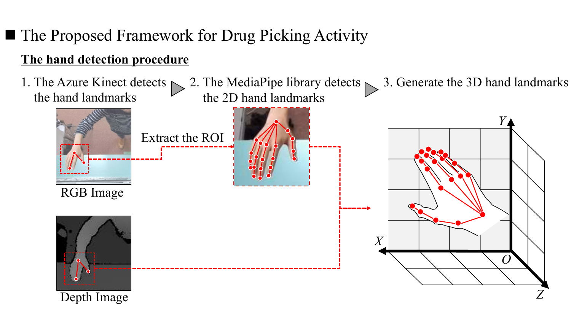## ■ The Proposed Framework for Drug Picking Activity

#### **The hand detection procedure**

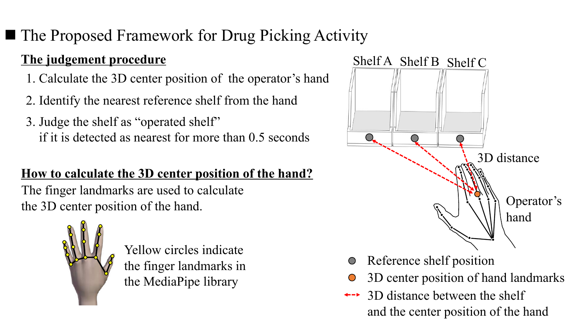## ■ The Proposed Framework for Drug Picking Activity

#### **The judgement procedure**

- 1. Calculate the 3D center position of the operator's hand
- 2. Identify the nearest reference shelf from the hand
- 3. Judge the shelf as "operated shelf" if it is detected as nearest for more than 0.5 seconds

#### **How to calculate the 3D center position of the hand?**

The finger landmarks are used to calculate the 3D center position of the hand.



Yellow circles indicate the finger landmarks in the MediaPipe library



- Reference shelf position  $\bigcirc$ 
	- 3D center position of hand landmarks
- 3D distance between the shelf and the center position of the hand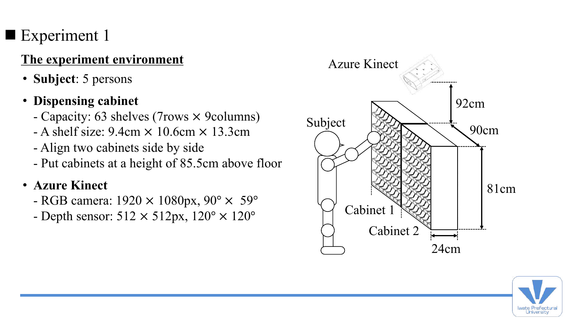## $\blacksquare$  Experiment 1

#### **The experiment environment**

- **Subject**: 5 persons
- **Dispensing cabinet**
	- Capacity: 63 shelves (7rows × 9columns)
	- $-$  A shelf size: 9.4cm  $\times$  10.6cm  $\times$  13.3cm
	- Align two cabinets side by side
	- Put cabinets at a height of 85.5cm above floor
- **Azure Kinect**
	- RGB camera:  $1920 \times 1080 \text{px}$ ,  $90^{\circ} \times 59^{\circ}$
	- Depth sensor:  $512 \times 512px$ ,  $120^{\circ} \times 120^{\circ}$



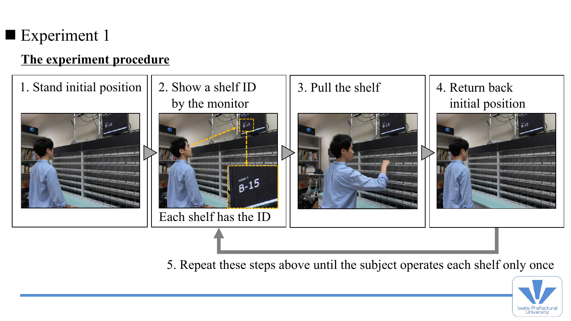## $\blacksquare$  Experiment 1

#### **The experiment procedure**



5. Repeat these steps above until the subject operates each shelf only once

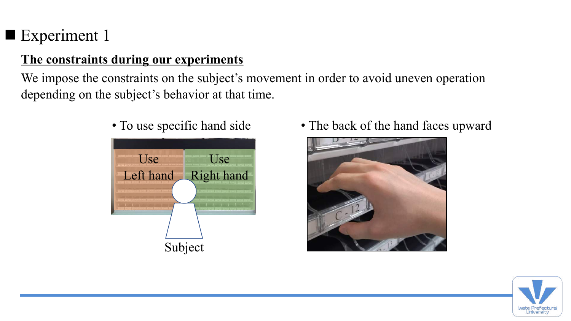## $\blacksquare$  Experiment 1

#### **The constraints during our experiments**

We impose the constraints on the subject's movement in order to avoid uneven operation depending on the subject's behavior at that time.



- 
- To use specific hand side The back of the hand faces upward



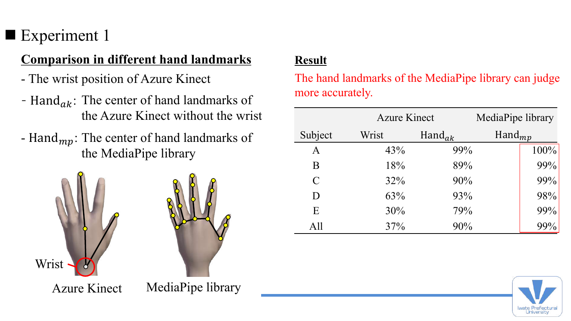## Experiment 1

#### **Comparison in different hand landmarks**

- The wrist position of Azure Kinect
- Hand $_{ak}$ : The center of hand landmarks of the Azure Kinect without the wrist
- Hand $_{mp}$ : The center of hand landmarks of the MediaPipe library



#### **Result**

The hand landmarks of the MediaPipe library can judge more accurately.

|                             |       | <b>Azure Kinect</b> |                    | MediaPipe library |  |
|-----------------------------|-------|---------------------|--------------------|-------------------|--|
| Subject                     | Wrist | Hand <sub>ak</sub>  | $\text{Hand}_{mp}$ |                   |  |
| A                           | 43%   | 99%                 |                    | 100%              |  |
| B                           | 18%   | 89%                 |                    | 99%               |  |
| $\mathcal{C}_{\mathcal{C}}$ | 32%   | 90%                 |                    | 99%               |  |
| D                           | 63%   | 93%                 |                    | 98%               |  |
| E                           | 30%   | 79%                 |                    | 99%               |  |
| All                         | 37%   | 90%                 |                    | 99%               |  |

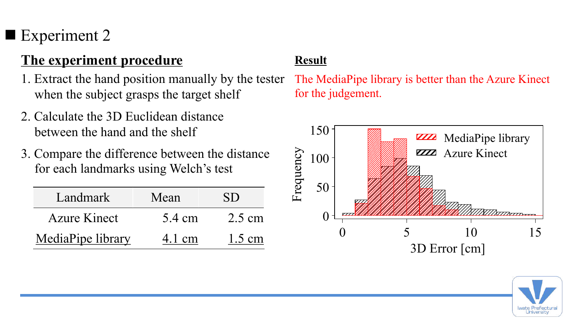## Experiment 2

## **The experiment procedure Result**

- 1. Extract the hand position manually by the tester when the subject grasps the target shelf
- 2. Calculate the 3D Euclidean distance between the hand and the shelf
- 3. Compare the difference between the distance for each landmarks using Welch's test

| Landmark            | Mean   | SD               |
|---------------------|--------|------------------|
| <b>Azure Kinect</b> | 5.4 cm | $2.5 \text{ cm}$ |
| MediaPipe library   | 4.1 cm | $1.5 \text{ cm}$ |

The MediaPipe library is better than the Azure Kinect for the judgement.



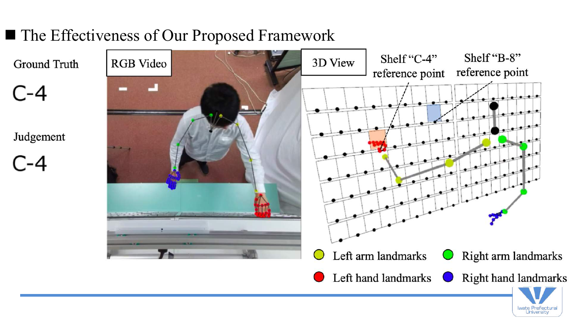## ■ The Effectiveness of Our Proposed Framework

**Ground Truth** 

 $C-4$ 

Judgement

C-4



Iwate Prefectural<br>University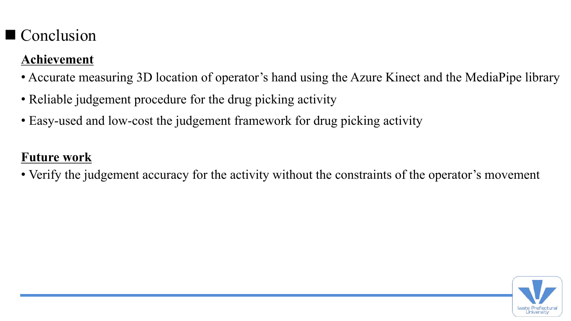## $\blacksquare$  Conclusion

#### **Achievement**

- Accurate measuring 3D location of operator's hand using the Azure Kinect and the MediaPipe library
- Reliable judgement procedure for the drug picking activity
- Easy-used and low-cost the judgement framework for drug picking activity

#### **Future work**

• Verify the judgement accuracy for the activity without the constraints of the operator's movement